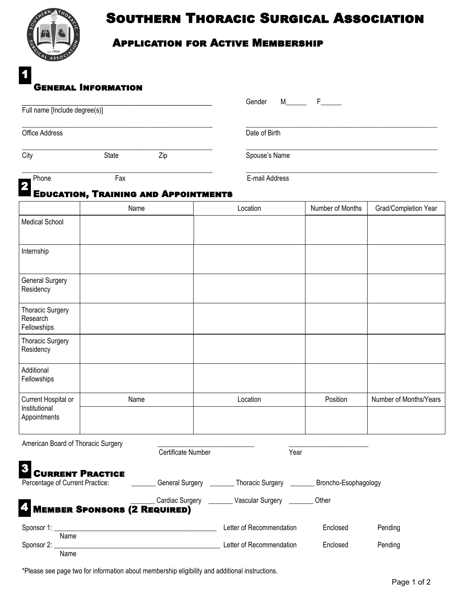

# Southern Thoracic Surgical Association

## Application for Active Membership

| $\blacksquare$                                                  | <b>GENERAL INFORMATION</b>                          |      |                                                      |                                                                        |                        |  |
|-----------------------------------------------------------------|-----------------------------------------------------|------|------------------------------------------------------|------------------------------------------------------------------------|------------------------|--|
| Full name [Include degree(s)]                                   |                                                     |      | Gender<br>M F                                        |                                                                        |                        |  |
| Office Address                                                  |                                                     |      | Date of Birth                                        |                                                                        |                        |  |
| City                                                            | State                                               | Zip  | Spouse's Name                                        |                                                                        |                        |  |
| Phone<br>2                                                      | Fax                                                 |      | E-mail Address                                       |                                                                        |                        |  |
|                                                                 | <b>EDUCATION, TRAINING AND APPOINTMENTS</b><br>Name |      | Location                                             | Number of Months                                                       | Grad/Completion Year   |  |
| <b>Medical School</b>                                           |                                                     |      |                                                      |                                                                        |                        |  |
| Internship                                                      |                                                     |      |                                                      |                                                                        |                        |  |
| <b>General Surgery</b><br>Residency                             |                                                     |      |                                                      |                                                                        |                        |  |
| <b>Thoracic Surgery</b><br>Research<br>Fellowships              |                                                     |      |                                                      |                                                                        |                        |  |
| <b>Thoracic Surgery</b><br>Residency                            |                                                     |      |                                                      |                                                                        |                        |  |
| Additional<br>Fellowships                                       |                                                     |      |                                                      |                                                                        |                        |  |
| Current Hospital or<br>Institutional<br>Appointments            | Name                                                |      | Location                                             | Position                                                               | Number of Months/Years |  |
|                                                                 |                                                     |      |                                                      |                                                                        |                        |  |
| American Board of Thoracic Surgery<br>Certificate Number        |                                                     | Year |                                                      |                                                                        |                        |  |
| 3<br><b>CURRENT PRACTICE</b><br>Percentage of Current Practice: |                                                     |      |                                                      | Ceneral Surgery ________ Thoracic Surgery _______ Broncho-Esophagology |                        |  |
|                                                                 | MEMBER SPONSORS (2 REQUIRED)                        |      | Cardiac Surgery __________ Vascular Surgery ________ | Other                                                                  |                        |  |
| Sponsor 1: $\_$                                                 |                                                     |      | Letter of Recommendation                             | Enclosed                                                               | Pending                |  |
| Name<br>Sponsor 2:<br>Name                                      |                                                     |      | Letter of Recommendation                             | Enclosed                                                               | Pending                |  |

\*Please see page two for information about membership eligibility and additional instructions.